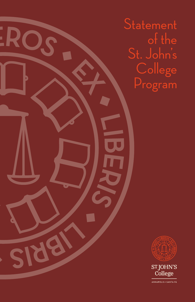**Statement** of the St. John's College Program

**ERO** 

SIC





ANNAPOLIS + SANTA FE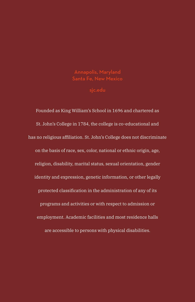Annapolis, Maryland

Founded as King William's School in 1696 and chartered as St. John's College in 1784, the college is co-educational and has no religious affiliation. St. John's College does not discriminate on the basis of race, sex, color, national or ethnic origin, age, religion, disability, marital status, sexual orientation, gender identity and expression, genetic information, or other legally protected classification in the administration of any of its programs and activities or with respect to admission or employment. Academic facilities and most residence halls are accessible to persons with physical disabilities.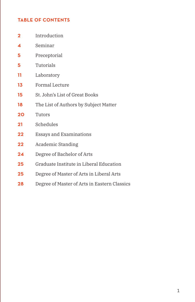# **TABLE OF CONTENTS**

- Introduction
- Seminar
- Preceptorial
- Tutorials
- Laboratory
- Formal Lecture
- St. John's List of Great Books
- The List of Authors by Subject Matter
- Tutors
- Schedules
- Essays and Examinations
- Academic Standing
- Degree of Bachelor of Arts
- Graduate Institute in Liberal Education
- Degree of Master of Arts in Liberal Arts
- Degree of Master of Arts in Eastern Classics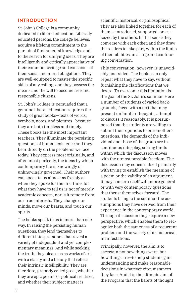#### **INTRODUCTION**

St. John's College is a community dedicated to liberal education. Liberally educated persons, the college believes, acquire a lifelong commitment to the pursuit of fundamental knowledge and to the search for unifying ideas. They are intelligently and critically appreciative of their common heritage and conscious of their social and moral obligations. They are well-equipped to master the specific skills of any calling, and they possess the means and the will to become free and responsible citizens.

St. John's College is persuaded that a genuine liberal education requires the study of great books—texts of words, symbols, notes, and pictures—because they are both timeless and timely. These books are the most important teachers. They illuminate the persisting questions of human existence and they bear directly on the problems we face today. They express most originally, and often most perfectly, the ideas by which contemporary life is knowingly or unknowingly governed. Their authors can speak to us almost as freshly as when they spoke for the first time, for what they have to tell us is not of merely academic concern, nor is it remote from our true interests. They change our minds, move our hearts, and touch our spirits.

The books speak to us in more than one way. In raising the persisting human questions, they lend themselves to different interpretations that reveal a variety of independent and yet complementary meanings. And while seeking the truth, they please us as works of art with a clarity and a beauty that reflect their intrinsic intelligibility. They are, therefore, properly called great, whether they are epic poems or political treatises, and whether their subject matter is

scientific, historical, or philosophical. They are also linked together, for each of them is introduced, supported, or criticized by the others. In that sense they converse with each other, and they draw the readers to take part, within the limits of their abilities, in a large and continuing conversation.

This conversation, however, is unavoidably one-sided. The books can only repeat what they have to say, without furnishing the clarifications that we desire. To overcome this limitation is the goal of the St. John's seminar. Here a number of students of varied backgrounds, faced with a text that may present unfamiliar thoughts, attempt to discuss it reasonably. It is presupposed that the students are willing to submit their opinions to one another's questions. The demands of the individual and those of the group are in continuous interplay, setting limits within which the discussion moves with the utmost possible freedom. The discussion may concern itself primarily with trying to establish the meaning of a poem or the validity of an argument. It may concern itself with more general or with very contemporary questions that thrust themselves forward. The students bring to the seminar the assumptions they have derived from their experience in the contemporary world. Through discussion they acquire a new perspective, which enables them to recognize both the sameness of a recurrent problem and the variety of its historical manifestations.

Principally, however, the aim is to ascertain not how things were, but how things are—to help students gain understanding and make reasonable decisions in whatever circumstances they face. And it is the ultimate aim of the Program that the habits of thought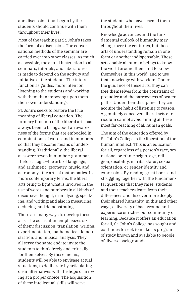and discussion thus begun by the students should continue with them throughout their lives.

Most of the teaching at St. John's takes the form of a discussion. The conversational methods of the seminar are carried over into other classes. As much as possible, the actual instruction in all seminars, tutorials, and laboratories is made to depend on the activity and initiative of the students. The tutors function as guides, more intent on listening to the students and working with them than imposing upon them their own understandings.

St. John's seeks to restore the true meaning of liberal education. The primary function of the liberal arts has always been to bring about an awareness of the forms that are embodied in combinations of words and in numbers so that they become means of understanding. Traditionally, the liberal arts were seven in number: grammar, rhetoric, logic—the arts of language; and arithmetic, geometry, music, and astronomy—the arts of mathematics. In more contemporary terms, the liberal arts bring to light what is involved in the use of words and numbers in all kinds of discursive thought, in analyzing, speaking, and writing; and also in measuring, deducing, and demonstrating.

There are many ways to develop these arts. The curriculum emphasizes six of them: discussion, translation, writing, experimentation, mathematical demonstration, and musical analysis. They all serve the same end: to invite the students to think freely and critically for themselves. By these means, students will be able to envisage actual situations, to deliberate by articulating clear alternatives with the hope of arriving at a proper choice. The acquisition of these intellectual skills will serve

the students who have learned them throughout their lives.

Knowledge advances and the fundamental outlook of humanity may change over the centuries, but these arts of understanding remain in one form or another indispensable. These arts enable all human beings to know the world around them and to know themselves in this world, and to use that knowledge with wisdom. Under the guidance of these arts, they can free themselves from the constraint of prejudice and the narrowness of beaten paths. Under their discipline, they can acquire the habit of listening to reason. A genuinely conceived liberal arts curriculum cannot avoid aiming at these most far-reaching of all human goals.

The aim of the education offered by St. John's College is the liberation of the human intellect. This is an education for all, regardless of a person's race, sex, national or ethnic origin, age, religion, disability, marital status, sexual orientation, or gender identity and expression. By reading great books and struggling together with the fundamental questions that they raise, students and their teachers learn from their differences and discover more deeply their shared humanity. In this and other ways, a diversity of background and experience enriches our community of learning. Because it offers an education for all, St. John's College has sought and continues to seek to make its program of study known and available to people of diverse backgrounds.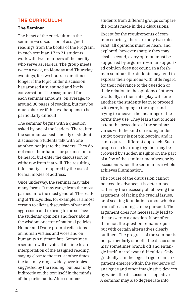#### **THE CURRICULUM**

#### **The Seminar**

The heart of the curriculum is the seminar—a discussion of assigned readings from the books of the Program. In each seminar, 17 to 21 students work with two members of the faculty who serve as leaders. The group meets twice a week, on Monday and Thursday evenings, for two hours—sometimes longer if the topic under discussion has aroused a sustained and lively conversation. The assignment for each seminar amounts, on average, to around 80 pages of reading, but may be much shorter if the text happens to be particularly difficult.

The seminar begins with a question asked by one of the leaders. Thereafter the seminar consists mostly of student discussion. Students talk with one another, not just to the leaders. They do not raise their hands for permission to be heard, but enter the discussion or withdraw from it at will. The resulting informality is tempered by the use of formal modes of address.

Once underway, the seminar may take many forms. It may range from the most particular to the most general. The reading of Thucydides, for example, is almost certain to elicit a discussion of war and aggression and to bring to the surface the students' opinions and fears about the wisdom or error of national policies. Homer and Dante prompt reflections on human virtues and vices and on humanity's ultimate fate. Sometimes a seminar will devote all its time to an interpretation of the assigned reading, staying close to the text; at other times the talk may range widely over topics suggested by the reading, but bear only indirectly on the text itself in the minds of the participants. After seminar,

students from different groups compare the points made in their discussions.

Except for the requirements of common courtesy, there are only two rules: First, all opinions must be heard and explored, however sharply they may clash; second, every opinion must be supported by argument—an unsupported opinion does not count. In a freshman seminar, the students may tend to express their opinions with little regard for their relevance to the question or their relation to the opinions of others. Gradually, in their interplay with one another, the students learn to proceed with care, keeping to the topic and trying to uncover the meanings of the terms they use. They learn that to some extent the procedure of the seminar varies with the kind of reading under study; poetry is not philosophy, and it can require a different approach. Such progress in learning together may be crowned by sudden insights on the part of a few of the seminar members, or by occasions when the seminar as a whole achieves illumination.

The course of the discussion cannot be fixed in advance; it is determined rather by the necessity of following the argument, of facing the crucial issues, or of seeking foundations upon which a train of reasoning can be pursued. The argument does not necessarily lead to the answer to a question. More often than not, the question remains open but with certain alternatives clearly outlined. The progress of the seminar is not particularly smooth; the discussion may sometimes branch off and entangle itself in irrelevant difficulties. Only gradually can the logical rigor of an argument emerge within the sequence of analogies and other imaginative devices by which the discussion is kept alive. A seminar may also degenerate into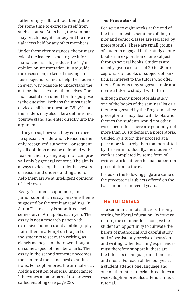rather empty talk, without being able for some time to extricate itself from such a course. At its best, the seminar may reach insights far beyond the initial views held by any of its members.

Under these circumstances, the primary role of the leaders is not to give information, nor is it to produce the "right" opinion or interpretation. It is to guide the discussion, to keep it moving, to raise objections, and to help the students in every way possible to understand the author, the issues, and themselves. The most useful instrument for this purpose is the question. Perhaps the most useful device of all is the question "Why?"—but the leaders may also take a definite and positive stand and enter directly into the argument.

If they do so, however, they can expect no special consideration. Reason is the only recognized authority. Consequently, all opinions must be defended with reason, and any single opinion can prevail only by general consent. The aim is always to develop the students' powers of reason and understanding and to help them arrive at intelligent opinions of their own.

Every freshman, sophomore, and junior submits an essay on some theme suggested by the seminar readings. In Santa Fe, an essay is submitted each semester; in Annapolis, each year. The essay is not a research paper with extensive footnotes and a bibliography, but rather an attempt on the part of the students to set out in writing, as clearly as they can, their own thoughts on some aspect of the liberal arts. The essay in the second semester becomes the center of their final oral examinations. For sophomores, the annual essay holds a position of special importance: It becomes a major part of the process called enabling (see page 23).

#### **The Preceptorial**

For seven to eight weeks at the end of the first semester, seminars of the junior and senior classes are replaced by preceptorials. These are small groups of students engaged in the study of one book or in exploration of one subject through several books. Students are usually given a choice of 20 to 25 preceptorials on books or subjects of particular interest to the tutors who offer them. Students may suggest a topic and invite a tutor to study it with them.

Although many preceptorials study one of the books of the seminar list or a theme suggested by the Program, other preceptorials may deal with books and themes the students would not otherwise encounter. There are generally not more than 10 students in a preceptorial. Guided by a tutor, they proceed at a pace more leisurely than that permitted by the seminar. Usually, the students' work is completed by some form of written work, either a formal paper or a presentation to the class.

Listed on the following page are some of the preceptorial subjects offered on the two campuses in recent years.

#### **THE TUTORIALS**

The seminar cannot suffice as the only setting for liberal education. By its very nature, the seminar does not give the student an opportunity to cultivate the habits of methodical and careful study and of persistently precise discussion and writing. Other learning experiences must therefore support it; these are the tutorials in language, mathematics, and music. For each of the four years, a student attends one language and one mathematics tutorial three times a week. Sophomores also attend a music tutorial.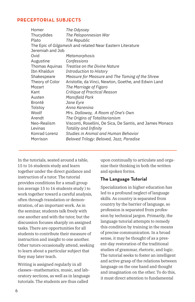# **PRECEPTORIAL SUBJECTS**

| Homer                  | The Odyssey                                                                        |
|------------------------|------------------------------------------------------------------------------------|
| Thucydides             | The Peloponnesian War                                                              |
| Plato                  | The Republic                                                                       |
|                        | The Epic of Gilgamesh and related Near Eastern Literature                          |
| Jeremiah and Job       |                                                                                    |
| Ovid                   | Metamorphosis                                                                      |
| Augustine              | Confessions                                                                        |
|                        | Thomas Aquinas Treatise on the Divine Nature                                       |
| Ibn Khaldun            | Introduction to History                                                            |
| Shakespeare            | Measure for Measure and The Taming of the Shrew                                    |
| Theory of Color        | Aristotle, da Vinci, Newton, Goethe, and Edwin Land                                |
| Mozart                 | The Marriage of Figaro                                                             |
| Kant                   | Critique of Practical Reason                                                       |
| Austen                 | Mansfield Park                                                                     |
| <b>Bronte</b>          | Jane Eyre                                                                          |
| Tolstoy                | Anna Karenina                                                                      |
| Woolf                  | Mrs. Dalloway, A Room of One's Own                                                 |
| Arendt                 | The Origins of Totalitarianism                                                     |
| Neo-Realism<br>Levinas | Visconti, Rosellini, De Sica, De Santis, and James Monaco<br>Totality and Infinity |
| Konrad Lorenz          | Studies in Animal and Human Behavior                                               |
| Morrison               | Beloved Trilogy: Beloved, Jazz, Paradise                                           |

In the tutorials, seated around a table, 15 to 16 students study and learn together under the direct guidance and instruction of a tutor. The tutorial provides conditions for a small group (on average 15 to 16 students study ) to work together toward a careful analysis, often through translation or demonstration, of an important work. As in the seminar, students talk freely with one another and with the tutor, but the discussion focuses sharply on assigned tasks. There are opportunities for all students to contribute their measure of instruction and insight to one another. Other tutors occasionally attend, seeking to learn about a particular subject that they may later teach.

Writing is assigned regularly in all classes—mathematics, music, and laboratory sections, as well as in language tutorials. The students are thus called

upon continually to articulate and organize their thinking in both the written and spoken forms.

# **The Language Tutorial**

Specialization in higher education has led to a profound neglect of language skills. As country is separated from country by the barrier of language, so profession is separated from profession by technical jargon. Primarily, the language tutorial attempts to remedy this condition by training in the means of precise communication. In a broad sense, it may be thought of as a present-day restoration of the traditional studies of grammar, rhetoric, and logic. The tutorial seeks to foster an intelligent and active grasp of the relations between language on the one hand and thought and imagination on the other. To do this, it must direct attention to fundamental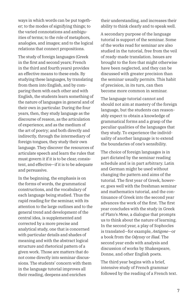ways in which words can be put together; to the modes of signifying things; to the varied connotations and ambiguities of terms; to the role of metaphors, analogies, and images; and to the logical relations that connect propositions.

The study of foreign languages (Greek in the first and second years; French in the third and fourth years) provides an effective means to these ends. By studying these languages, by translating from them into English, and by comparing them with each other and with English, the students learn something of the nature of languages in general and of their own in particular. During the four years, then, they study language as the discourse of reason, as the articulation of experience, and as the medium of the art of poetry; and both directly and indirectly, through the intermediary of foreign tongues, they study their own language. They discover the resources of articulate speech and learn the rules that must govern it if it is to be clear, consistent, and effective—if it is to be adequate and persuasive.

In the beginning, the emphasis is on the forms of words, the grammatical constructions, and the vocabulary of each language being studied. Thus the rapid reading for the seminar, with its attention to the large outlines and to the general trend and development of the central idea, is supplemented and corrected by a more precise and analytical study, one that is concerned with particular details and shades of meaning and with the abstract logical structure and rhetorical pattern of a given work. Those are matters that do not come directly into seminar discussions. The students' concern with them in the language tutorial improves all their reading, deepens and enriches

their understanding, and increases their ability to think clearly and to speak well.

A secondary purpose of the language tutorial is support of the seminar. Some of the works read for seminar are also studied in the tutorial, free from the veil of ready-made translation. Issues are brought to the fore that might otherwise have been neglected, and they can be discussed with greater precision than the seminar usually permits. This habit of precision, in its turn, can then become more common in seminar.

The language tutorial cannot and should not aim at mastery of the foreign language, but the students can reasonably expect to obtain a knowledge of grammatical forms and a grasp of the peculiar qualities of the languages that they study. To experience the individuality of another language is to extend the boundaries of one's sensibility.

The choice of foreign languages is in part dictated by the seminar reading schedule and is in part arbitrary. Latin and German might be used without changing the pattern and aims of the tutorial. The first year of Greek, however, goes well with the freshman seminar and mathematics tutorial, and the continuance of Greek into the second year advances the work of the first. The first year concludes with the study in Greek of Plato's *Meno*, a dialogue that prompts us to think about the nature of learning. In the second year, a play of Sophocles is translated—for example, *Antigone*—or a book from the *Odyssey* or *Iliad*. The second year ends with analysis and discussion of works by Shakespeare, Donne, and other English poets.

The third year begins with a brief, intensive study of French grammar followed by the reading of a French text.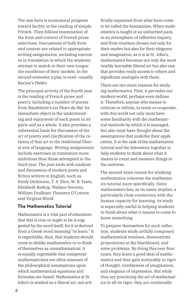The aim here is economical progress toward facility in the reading of simple French. Then follows examination of the form and content of French prose selections. Discussions of both form and content are related to appropriate writing assignments, including exercises in translation in which the students attempt to match in their own tongue the excellence of their models. In the second semester a play is read—usually Racine's *Phèdre*.

The principal activity of the fourth year is the reading of French prose and poetry, including a number of poems from Baudelaire's *Les Fleurs du Mal*. Its immediate object is the understanding and enjoyment of each poem in its parts and as a whole. It also provides a substantial basis for discussion of the art of poetry and clarification of the relation of that art to the traditional liberal arts of language. Writing assignments include exercises in translation more ambitious than those attempted in the third year. The year ends with analysis and discussion of modern poets and fiction writers in English, such as Emily Dickinson, T. S. Eliot, W. B. Yeats, Elizabeth Bishop, Wallace Stevens, William Faulkner, Flannery O'Connor, and Virginia Woolf.

# **The Mathematics Tutorial**

Mathematics is a vital part of education; that this is true or ought to be is suggested by the word itself, for it is derived from a Greek word meaning "to learn." It is regrettable, then, that students should come to dislike mathematics or to think of themselves as unmathematical. It is equally regrettable that competent mathematicians are often unaware of the philosophical assumptions upon which mathematical equations and formulas are based. Mathematics at St. John's is studied as a liberal art, not artificially separated from what have come to be called the humanities. When mathematics is taught at an unhurried pace, in an atmosphere of reflective inquiry, and from treatises chosen not only for their matter but also for their elegance and imagination, as it is at St. John's, mathematics becomes not only the most readily learnable liberal art but also one that provides ready access to others and significant analogies with them.

There are two main reasons for studying mathematics. First, it pervades our modern world, perhaps even defines it. Therefore, anyone who means to criticize or reform, to resist or cooperate, with this world not only must have some familiarity with the mathematical methods by which it is managed, but also must have thought about the assumptions that underlie their application. It is the task of the mathematics tutorial and the laboratory together to help students to think about what it means to count and measure things in the universe.

The second main reason for studying mathematics concerns the mathematics tutorial more specifically. Since mathematics has, as its name implies, a particularly close connection with the human capacity for learning, its study is especially useful in helping students to think about what it means to come to know something.

To prepare themselves for such reflection, students study artfully composed mathematical treatises, demonstrate propositions at the blackboard, and solve problems. By doing this over four years, they learn a good deal of mathematics and they gain noticeably in rigor of thought, nimbleness of imagination, and elegance of expression. But while they are practicing the art of mathematics in all its rigor, they are continually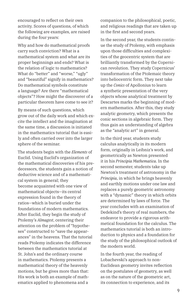encouraged to reflect on their own activity. Scores of questions, of which the following are examples, are raised during the four years:

Why and how do mathematical proofs carry such conviction? What is a mathematical system and what are its proper beginnings and ends? What is the relation of logic to mathematics? What do "better" and "worse," "ugly" and "beautiful" signify in mathematics? Do mathematical symbols constitute a language? Are there "mathematical objects"? How might the discoverer of a particular theorem have come to see it?

By means of such questions, which grow out of the daily work and which excite the intellect and the imagination at the same time, a discussion is initiated in the mathematics tutorial that is easily and often carried over into the larger sphere of the seminar.

The students begin with the *Elements* of Euclid. Using Euclid's organization of the mathematical discoveries of his predecessors, the students gain a notion of deductive science and of a mathematical system in general; they become acquainted with one view of mathematical objects—its central expression found in the theory of ratios—which is buried under the foundations of modern mathematics. After Euclid, they begin the study of Ptolemy's *Almagest*, centering their attention on the problem of "hypotheses" constructed to "save the appearances" in the heavens. That the tutorial reads Ptolemy indicates the difference between the mathematics tutorial at St. John's and the ordinary course in mathematics. Ptolemy presents a mathematical theory of the heavenly motions, but he gives more than that: His work is both an example of mathematics applied to phenomena and a

companion to the philosophical, poetic, and religious readings that are taken up in the first and second years.

In the second year, the students continue the study of Ptolemy, with emphasis upon those difficulties and complexities of the geocentric system that are brilliantly transformed by the Copernican revolution. They study Copernicus' transformation of the Ptolemaic theory into heliocentric form. They next take up the *Conics* of Apollonius to learn a synthetic presentation of the very objects whose analytical treatment by Descartes marks the beginning of modern mathematics. After this, they study analytic geometry, which presents the conic sections in algebraic form. They thus gain an understanding of algebra as the "analytic art" in general.

In the third year, students study calculus analytically in its modern form, originally in Leibniz's work, and geometrically as Newton presented it in his *Principia Mathematica*. In the second semester, students take up Newton's treatment of astronomy in the *Principia*, in which he brings heavenly and earthly motions under one law and replaces a purely geometric astronomy with a "dynamic" theory in which orbits are determined by laws of force. The year concludes with an examination of Dedekind's theory of real numbers, the endeavor to provide a rigorous arithmetical foundation for the calculus. The mathematics tutorial is both an introduction to physics and a foundation for the study of the philosophical outlook of the modern world.

In the fourth year, the reading of Lobachevski's approach to non-Euclidean geometry invites reflection on the postulates of geometry, as well as on the nature of the geometric art, its connection to experience, and its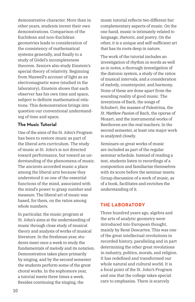demonstrative character. More than in other years, students invent their own demonstrations. Comparison of the Euclidean and non-Euclidean geometries leads to consideration of the consistency of mathematical systems generally, and finally to a study of Gödel's incompleteness theorem. Seniors also study Einstein's special theory of relativity. Beginning from Maxwell's account of light as an electromagnetic wave (studied in the laboratory), Einstein shows that each observer has his own time and space, subject to definite mathematical relations. This demonstration brings into question our conventional understanding of time and space.

# **The Music Tutorial**

One of the aims of the St. John's Program has been to restore music as part of the liberal arts curriculum. The study of music at St. John's is not directed toward performance, but toward an understanding of the phenomena of music. The ancients accorded music a place among the liberal arts because they understood it as one of the essential functions of the mind, associated with the mind's power to grasp number and measure. The liberal art of music was based, for them, on the ratios among whole numbers.

In particular, the music program at St. John's aims at the understanding of music through close study of musical theory and analysis of works of musical literature. In the freshman year, students meet once a week to study the fundamentals of melody and its notation. Demonstration takes place primarily by singing, and by the second semester the students perform some of the great choral works. In the sophomore year, a tutorial meets three times a week. Besides continuing the singing, the

music tutorial reflects two different but complementary aspects of music. On the one hand, music is intimately related to language, rhetoric, and poetry. On the other, it is a unique and self-sufficient art that has its roots deep in nature.

The work of the tutorial includes an investigation of rhythm in words as well as in notes, a thorough investigation of the diatonic system, a study of the ratios of musical intervals, and a consideration of melody, counterpoint, and harmony. None of these are done apart from the sounding reality of good music. The inventions of Bach, the songs of Schubert, the masses of Palestrina, the *St. Matthew Passion* of Bach, the operas of Mozart, and the instrumental works of Beethoven are the real teachers. In the second semester, at least one major work is analyzed closely.

Seminars on great works of music are included as part of the regular seminar schedule. Instead of reading a text, students listen to recordings of a composition and familiarize themselves with its score before the seminar meets. Group discussion of a work of music, as of a book, facilitates and enriches the understanding of it.

# **THE LABORATORY**

Three hundred years ago, algebra and the arts of analytic geometry were introduced into European thought, mainly by René Descartes. This was one of the great intellectual revolutions in recorded history, paralleling and in part determining the other great revolutions in industry, politics, morals, and religion. It has redefined and transformed our whole natural and cultural world. It is a focal point of the St. John's Program and one that the college takes special care to emphasize. There is scarcely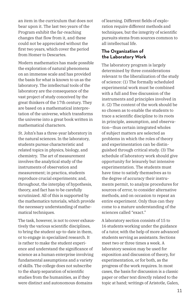an item in the curriculum that does not bear upon it. The last two years of the Program exhibit the far-reaching changes that flow from it, and these could not be appreciated without the first two years, which cover the period from Homer to Descartes.

Modern mathematics has made possible the exploration of natural phenomena on an immense scale and has provided the basis for what is known to us as the laboratory. The intellectual tools of the laboratory are the consequence of the vast project of study conceived by the great thinkers of the 17th century. They are based on a mathematical interpretation of the universe, which transforms the universe into a great book written in mathematical characters.

St. John's has a three-year laboratory in the natural sciences. In the laboratory, students pursue characteristic and related topics in physics, biology, and chemistry. The art of measurement involves the analytical study of the instruments of observation and measurement; in practica, students reproduce crucial experiments; and, throughout, the interplay of hypothesis, theory, and fact has to be carefully scrutinized. All of this is supported by the mathematics tutorials, which provide the necessary understanding of mathematical techniques.

The task, however, is not to cover exhaustively the various scientific disciplines, to bring the student up-to-date in them, or to engage in specialized research. It is rather to make the student experience and understand the significance of science as a human enterprise involving fundamental assumptions and a variety of skills. The college does not subscribe to the sharp separation of scientific studies from the humanities, as if they were distinct and autonomous domains

of learning. Different fields of exploration require different methods and techniques, but the integrity of scientific pursuits stems from sources common to all intellectual life.

# **The Organization of the Laboratory Work**

The laboratory program is largely determined by three considerations relevant to the liberalization of the study of science: (1) The formally scheduled experimental work must be combined with a full and free discussion of the instruments and principles involved in it. (2) The content of the work should be so chosen as to enable the students to trace a scientific discipline to its roots in principle, assumption, and observation—thus certain integrated wholes of subject matters are selected as problems in which the roles of theory and experimentation can be distinguished through critical study. (3) The schedule of laboratory work should give opportunity for leisurely but intensive experimentation. The students must have time to satisfy themselves as to the degree of accuracy their instruments permit, to analyze procedures for sources of error, to consider alternative methods, and on occasion to repeat an entire experiment. Only thus can they come to a mature understanding of the sciences called "exact."

A laboratory section consists of 15 to 16 students working under the guidance of a tutor, with the help of more advanced students serving as assistants. Sections meet two or three times a week. A laboratory session may be used for exposition and discussion of theory, for experimentation, or for both, as the progress of the work requires. In most cases, the basis for discussion is a classic paper or other text directly related to the topic at hand; writings of Aristotle, Galen,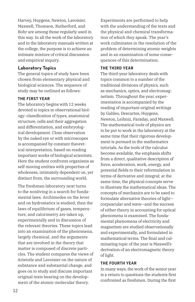Harvey, Huygens, Newton, Lavoisier, Maxwell, Thomson, Rutherford, and Bohr are among those regularly used in this way. In all the work of the laboratory and in the laboratory manuals written at the college, the purpose is to achieve an intimate mixture of critical discussion and empirical inquiry.

## **Laboratory Topics**

The general topics of study have been chosen from elementary physical and biological sciences. The sequence of study may be outlined as follows:

#### **THE FIRST YEAR**

The laboratory begins with 12 weeks devoted to topics in observational biology: classification of types, anatomical structure, cells and their aggregation and differentiation, and embryological development. Close observation by the naked eye or with microscopes is accompanied by constant theoretical interpretation, based on reading important works of biological scientists. Here the student confronts organisms as self-moving entities with properties of wholeness, intimately dependent on, yet distinct from, the surrounding world.

The freshman laboratory next turns to the nonliving in a search for fundamental laws. Archimedes on the lever and on hydrostatics is studied, then the laws of equilibrium of gases, temperature, and calorimetry are taken up, experimentally and in discussion of the relevant theories. These topics lead into an examination of the phenomena, largely chemical, and the arguments that are involved in the theory that matter is composed of discrete particles. The student compares the views of Aristotle and Lavoisier on the nature of substance and substantial change, and goes on to study and discuss important original texts bearing on the development of the atomic-molecular theory.

Experiments are performed to help with the understanding of the texts and the physical and chemical transformation of which they speak. The year's work culminates in the resolution of the problem of determining atomic weights and in an examination of some consequences of this determination.

#### **THE THIRD YEAR**

The third-year laboratory deals with topics common to a number of the traditional divisions of physics, such as mechanics, optics, and electromagnetism. Throughout the year, experimentation is accompanied by the reading of important original writings by Galileo, Descartes, Huygens, Newton, Leibniz, Faraday, and Maxwell. The mathematical tools of physics are to be put to work in the laboratory at the same time that their rigorous development is pursued in the mathematics tutorials. As the tools of the calculus become available, the emphasis shifts from a direct, qualitative description of force, acceleration, work, energy, and potential fields to their reformulation in terms of derivative and integral; at the same time, the physical concepts serve to illustrate the mathematical ideas. The concepts of mechanics are to be used to formulate alternative theories of light corpuscular and wave—and the success of either theory in accounting for optical phenomena is examined. The fundamental phenomena of electricity and magnetism are studied observationally and experimentally, and formulated in mathematical terms. The final and culminating topic of the year is Maxwell's derivation of an electromagnetic theory of light.

#### **THE FOURTH YEAR**

In many ways, the work of the senior year is a return to questions the students first confronted as freshmen. During the first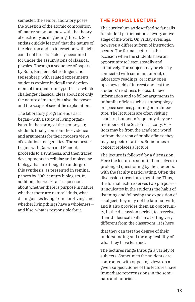semester, the senior laboratory poses the question of the atomic composition of matter anew, but now with the theory of electricity as its guiding thread. Scientists quickly learned that the nature of the electron and its interaction with light could not be satisfactorily accounted for under the assumptions of classical physics. Through a sequence of papers by Bohr, Einstein, Schrödinger, and Heisenberg, with related experiments, students explore in detail the development of the quantum hypothesis—which challenges classical ideas about not only the nature of matter, but also the power and the scope of scientific explanation.

The laboratory program ends as it began—with a study of living organisms. In the spring of the senior year, students finally confront the evidence and arguments for their modern views of evolution and genetics. The semester begins with Darwin and Mendel, proceeds to a synthesis, and then traces developments in cellular and molecular biology that are thought to undergird this synthesis, as presented in seminal papers by 20th century biologists. In addition, this work raises questions about whether there is purpose in nature, whether there are natural kinds, what distinguishes living from non-living, and whether living things have a wholeness and if so, what is responsible for it.

#### **THE FORMAL LECTURE**

The curriculum as described so far calls for student participation at every active stage of the work. On Friday evenings, however, a different form of instruction occurs. The formal lecture is the occasion when the students have an opportunity to listen steadily and attentively. The subject may be closely connected with seminar, tutorial, or laboratory readings, or it may open up a new field of interest and test the students' readiness to absorb new information and to follow arguments in unfamiliar fields such as anthropology or space science, painting or architecture. The lecturers are often visiting scholars, but not infrequently they are members of the St. John's faculty. Visitors may be from the academic world or from the arena of public affairs; they may be poets or artists. Sometimes a concert replaces a lecture.

The lecture is followed by a discussion. Here the lecturers submit themselves to prolonged questioning by the students, with the faculty participating. Often the discussion turns into a seminar. Thus, the formal lecture serves two purposes: It inculcates in the students the habit of listening and following the exposition of a subject they may not be familiar with, and it also provides them an opportunity, in the discussion period, to exercise their dialectical skills in a setting very different from the classroom. It is here

that they can test the degree of their understanding and the applicability of what they have learned.

The lectures range through a variety of subjects. Sometimes the students are confronted with opposing views on a given subject. Some of the lectures have immediate repercussions in the seminars and tutorials.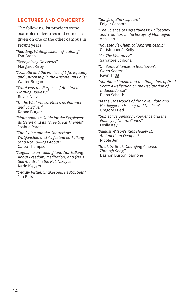# **LECTURES AND CONCERTS**

The following list provides some examples of lectures and concerts given on one or the other campus in recent years:

*"Reading, Writing, Listening, Talking"*  Eva Brann

*"Recognizing Odysseus"* Margaret Kirby

*"Aristotle and the Politics of Life: Equality and Citizenship in the Aristotelian Polis"* Walter Brogan

*"What was the Purpose of Archimedes' 'Floating Bodies'?"* Reviel Netz

*"In the Wilderness: Moses as Founder and Lawgiver"* Ronna Burger

*"Maimonides's Guide for the Perplexed: its Genre and its Three Great Themes"* Joshua Parens

*"The Swine and the Chatterbox: Wittgenstein and Augustine on Talking (and Not Talking) About"* Caleb Thompson

*"Augustine on Talking (and Not Talking) About Freedom, Meditation, and (No-) Self-Control in the Pāli Nikāyas"* Karin Meyers

*"Deadly Virtue: Shakespeare's Macbeth"* Jan Blits

*"Songs of Shakespeare"* Folger Consort

*"The Science of Forgetfulness: Philosophy and Tradition in the Essays of Montaigne"* Ann Hartle

*"Rousseau's Chemical Apprenticeship"* Christopher J. Kelly

*"On The Volunteer"* Salvatore Scibona

*"On Some Silences in Beethoven's Piano Sonatas"*  Fawn Trigg

*"Abraham Lincoln and the Daughters of Dred Scott: A Reflection on the Declaration of Independence"* Diana Schaub

*"At the Crossroads of the Cave: Plato and Heidegger on History and Nihilism"* Gregory Fried

*"Subjective Sensory Experience and the Fallacy of Neural Codes"* Leslie Kay

*"August Wilson's King Hedley II: An American Oedipus?"* Nicole Jerr

*"Brick by Brick: Changing America Through Song"* Dashon Burton, baritone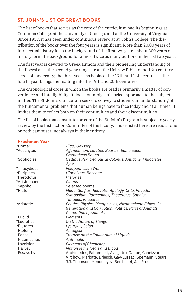# **ST. JOHN'S LIST OF GREAT BOOKS**

The list of books that serves as the core of the curriculum had its beginnings at Columbia College, at the University of Chicago, and at the University of Virginia. Since 1937, it has been under continuous review at St. John's College. The distribution of the books over the four years is significant. More than 2,000 years of intellectual history form the background of the first two years; about 300 years of history form the background for almost twice as many authors in the last two years.

The first year is devoted to Greek authors and their pioneering understanding of the liberal arts; the second year ranges from the Hebrew Bible to the 16th century seeds of modernity; the third year has books of the 17th and 18th centuries; the fourth year brings the reading into the 19th and 20th centuries.

The chronological order in which the books are read is primarily a matter of convenience and intelligibility; it does not imply a historical approach to the subject matter. The St. John's curriculum seeks to convey to students an understanding of the fundamental problems that human beings have to face today and at all times. It invites them to reflect both on their continuities and their discontinuities.

The list of books that constitute the core of the St. John's Program is subject to yearly review by the Instruction Committee of the faculty. Those listed here are read at one or both campuses, not always in their entirety.

#### **Freshman Year**

| *Homer        | Iliad, Odyssey                                           |  |  |  |
|---------------|----------------------------------------------------------|--|--|--|
| *Aeschylus    | Agamemnon, Libation Bearers, Eumenides,                  |  |  |  |
|               | Prometheus Bound                                         |  |  |  |
| *Sophocles    | Oedipus Rex, Oedipus at Colonus, Antigone, Philoctetes,  |  |  |  |
|               | Ajax                                                     |  |  |  |
| *Thucydides   | Peloponnesian War                                        |  |  |  |
| *Euripides    | Hippolytus, Bacchae                                      |  |  |  |
| *Herodotus    | <b>Histories</b>                                         |  |  |  |
| *Aristophanes | Clouds                                                   |  |  |  |
| Sappho        | Selected poems                                           |  |  |  |
| *Plato        | Meno, Gorgias, Republic, Apology, Crito, Phaedo,         |  |  |  |
|               | Symposium, Parmenides, Theaetetus, Sophist,              |  |  |  |
|               | Timaeus, Phaedrus                                        |  |  |  |
| *Aristotle    | Poetics, Physics, Metaphysics, Nicomachean Ethics, On    |  |  |  |
|               | Generation and Corruption, Politics, Parts of Animals,   |  |  |  |
|               | Generation of Animals                                    |  |  |  |
| Euclid        | Elements                                                 |  |  |  |
| *Lucretius    | On the Nature of Things                                  |  |  |  |
| *Plutarch     | Lycurgus, Solon                                          |  |  |  |
| Ptolemy       | Almagest                                                 |  |  |  |
| Pascal        | Treatise on the Equilibrium of Liquids                   |  |  |  |
| Nicomachus    | Arithmetic                                               |  |  |  |
| Lavoisier     | <b>Elements of Chemistry</b>                             |  |  |  |
| Harvey        | Motion of the Heart and Blood                            |  |  |  |
| Essays by     | Archimedes, Fahrenheit, Avogadro, Dalton, Cannizzaro,    |  |  |  |
|               | Virchow, Mariotte, Driesch, Gay-Lussac, Spemann, Stears, |  |  |  |
|               | J.J. Thomson, Mendeleyev, Berthollet, J.L. Proust        |  |  |  |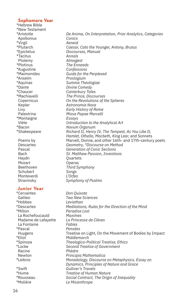#### **Sophomore Year**

\*Hebrew Bible \*New Testament<br>\*Aristotle Apollonius *Conics* \*Virgil *Aeneid* \*Tacitus *Annals* Ptolemy *Almagest* \*Augustine *Confessions* \*Anselm *Proslogium* \*Dante *Divine Comedy* \*Chaucer *Canterbury Tales* \*Montaigne *Essays* \*Bacon *Novum Organum*

Monteverdi *L'Orfeo* Mozart Operas Schubert *Songs*

#### **Junior Year**

\*Cervantes *Don Quixote*  Galileo *Two New Sciences*  \*Hobbes *Leviathan* \*Milton *Paradise Lost* La Rochefoucauld *Maximes* Madame de Lafayette *La Princesse de Clèves* La Fontaine *Fables* \*Pascal *Pensées* \*Eliot *Middlemarch* Racine *Phèdre* Newton *Principia Mathematica* \*Swift *Gulliver's Travels*

Stravinsky *Symphony of Psalms*  $De Anima, On Interpretation, Prior Analysis, Categories$ \*Plutarch *Caesar, Cato the Younger, Antony, Brutus*  Discourses, Manual<br>Annals **The Enneads** \*Maimonides *Guide for the Perplexed* \*Aquinas *Summa Theologiae* \*Machiavelli *The Prince, Discourses* Copernicus *On the Revolutions of the Spheres* Kepler *Astronomia Nova* Livy *Early History of Rome* Palestrina *Missa Papae Marcelli* Viète *Introduction to the Analytical Art*  $Richard II$ , Henry IV, The Tempest, As You Like It, *Hamlet, Othello, Macbeth, King Lear,* and Sonnets Poems by Marvell, Donne, and other 16th- and 17th-century poets<br>Descartes Geometry. \*Discourse on Method Geometry, \*Discourse on Method Pascal *Generation of Conic Sections* Bach *St. Matthew Passion, Inventions* Ouartets Beethoven *Third Symphony*

\*Descartes *Meditations, Rules for the Direction of the Mind* Huygens Treatise on Light, On the Movement of Bodies by Impact \*Spinoza *Theologico-Political Treatise, Ethics* \*Locke *Second Treatise of Government*  \*Leibniz *Monadology, Discourse on Metaphysics, Essay on Dynamics, Principles of Nature and Grace*   $Treatise$  of Human Nature \*Rousseau *Social Contract, The Origin of Inequality* \*Molière *Le Misanthrope*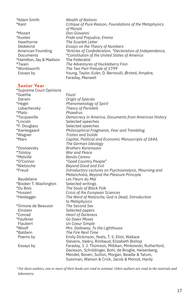| *Adam Smith              | <b>Wealth of Nations</b>                                  |
|--------------------------|-----------------------------------------------------------|
| *Kant                    | Critique of Pure Reason, Foundations of the Metaphysics   |
|                          | of Morals                                                 |
| *Mozart                  | Don Giovanni                                              |
| *Austen                  | Pride and Prejudice, Emma                                 |
| Hawthorne                | The Scarlett Letter                                       |
| Dedekind                 | Essays on the Theory of Numbers                           |
| American Founding        | *Articles of Confederation, *Declaration of Independence, |
| Documents                | *Constitution of the United States of America             |
| *Hamilton, Jay & Madison | The Federalist                                            |
| *Twain                   | The Adventures of Huckleberry Finn                        |
| *Wordsworth              | The Two Part Prelude of 1799                              |
| Essays by                | Young, Taylor, Euler, D. Bernoulli, Ørsted, Ampère,       |
|                          | Faraday, Maxwell                                          |

#### **Senior Year**

\*Supreme Court Opinions \*Goethe *Faust* Darwin *Origin of Species* \*Hegel *Phenomenology of Spirit* Lobachevsky *Theory of Parallels*   $P$ *haedrus* \*Tocqueville *Democracy in America, Documents from American History* \*Lincoln Selected speeches \*F. Douglass Selected speeches \*Kierkegaard *Philosophical Fragments, Fear and Trembling*  \*Wagner *Tristan and Isolde*  \*Marx *Capital, Political and Economic Manuscripts of 1844, The German Ideology*  \*Dostoevsky *Brothers Karamazov*  \*Tolstoy *War and Peace* \*Melville *Benito Cereno* \*O'Connor "Good Country People" \*Nietzsche *Beyond Good and Evil* \*Freud *Introductory Lectures on Psychoanalysis, Mourning and Melancholia, Beyond the Pleasure Principle*  Baudelaire *Les Fleurs du Mal* \*Booker T. Washington Selected writings \*Du Bois *The Souls of Black Folk* \*Husserl *Crisis of the European Sciences* \*Heidegger *The Word of Nietzsche, God is Dead, Introduction to Metaphysics*  \*Simone de Beauvoir *The Second Sex*  Einstein Selected papers \*Conrad *Heart of Darknes*s \*Faulkner *Go Down Moses* Flaubert *Un Coeur Simple* \*Woolf *Mrs. Dalloway, To the Lighthouse* \*Baldwin *The Fire Next Time* Poems by Emily Dickinson, Yeats, T. S. Eliot, Wallace Stevens, Valéry, Rimbaud, Elizabeth Bishop Essays by Faraday, J. J. Thomson, Millikan, Minkowski, Rutherford, Davisson, Schrödinger, Bohr, de Broglie, Heisenberg, Mendel, Boveri, Sutton, Morgan, Beadle & Tatum, Sussman, Watson & Crick, Jacob & Monod, Hardy

*\* For these authors, one or more of their books are read in seminar. Other authors are read in the tutorials and laboratory.*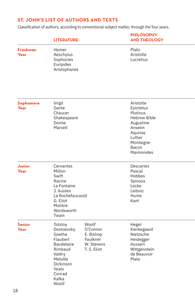# **ST. JOHN'S LIST OF AUTHORS AND TEXTS**

Classification of authors, according to conventional subject matter, through the four years.

| Freshman<br>Homer<br>Plato<br>Aristotle<br>Year<br>Aeschylus<br>Lucretius<br>Sophocles<br>Euripides<br>Aristophanes | <b>LITERATURE</b> | <b>PHILOSOPHY</b><br><b>AND THEOLOGY</b> |  |
|---------------------------------------------------------------------------------------------------------------------|-------------------|------------------------------------------|--|
|                                                                                                                     |                   |                                          |  |

| Sophomore<br>Year     | Virgil<br>Dante<br>Chaucer<br>Shakespeare<br>Donne<br>Marvell                                                                                |                                                                         | Aristotle<br>Epictetus<br>Plotinus<br><b>Hebrew Bible</b><br>Augustine<br>Anselm<br>Aquinas<br>Luther<br>Montaigne<br>Bacon<br>Maimonides |  |  |  |  |
|-----------------------|----------------------------------------------------------------------------------------------------------------------------------------------|-------------------------------------------------------------------------|-------------------------------------------------------------------------------------------------------------------------------------------|--|--|--|--|
| <b>Junior</b><br>Year | Cervantes<br>Milton<br>Swift<br>Racine<br>La Fontaine<br>J. Austen<br>La Rochefoucauld<br>G. Eliot<br>Molière<br>Wordsworth<br>Twain         |                                                                         | Descartes<br>Pascal<br>Hobbes<br>Spinoza<br>Locke<br>Leibniz<br>Hume<br>Kant                                                              |  |  |  |  |
| <b>Senior</b><br>Year | Tolstoy<br>Dostoevsky<br>Goethe<br>Flaubert<br>Baudelaire<br>Rimbaud<br>Valéry<br>Melville<br>Dickinson<br>Yeats<br>Conrad<br>Kafka<br>Woolf | Woolf<br>O'Connor<br>E. Bishop<br>Faulkner<br>W. Stevens<br>T. S. Eliot | Hegel<br>Kierkegaard<br>Nietzsche<br>Heidegger<br>Husserl<br>Wittgenstein<br>de Beauvoir<br>Plato                                         |  |  |  |  |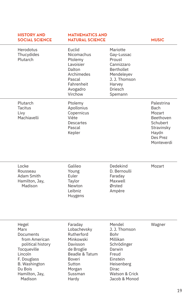|               | <b>HISTORY AND</b><br><b>SOCIAL SCIENCE</b>                                                                                                       | <b>MATHEMATICS AND</b><br><b>NATURAL SCIENCE</b>                                                                                                |                                                                                                                                                            | <b>MUSIC</b>                                                                                           |
|---------------|---------------------------------------------------------------------------------------------------------------------------------------------------|-------------------------------------------------------------------------------------------------------------------------------------------------|------------------------------------------------------------------------------------------------------------------------------------------------------------|--------------------------------------------------------------------------------------------------------|
|               | Herodotus<br>Thucydides<br>Plutarch                                                                                                               | Euclid<br>Nicomachus<br>Ptolemy<br>Lavoisier<br>Dalton<br>Archimedes<br>Pascal<br>Fahrenheit<br>Avogadro<br>Virchow                             | Mariotte<br>Gay-Lussac<br>Proust<br>Cannizzaro<br>Berthollet<br>Mendeleyev<br>J. J. Thomson<br>Harvey<br>Driesch<br>Spemann                                |                                                                                                        |
| Livy          | Plutarch<br>Tacitus<br>Machiavelli                                                                                                                | Ptolemy<br>Apollonius<br>Copernicus<br>Viète<br>Descartes<br>Pascal<br>Kepler                                                                   |                                                                                                                                                            | Palestrina<br>Bach<br>Mozart<br>Beethoven<br>Schubert<br>Stravinsky<br>Haydn<br>Des Prez<br>Monteverdi |
| Locke         | Rousseau<br>Adam Smith<br>Hamilton, Jay,<br>Madison                                                                                               | Galileo<br>Young<br>Euler<br>Taylor<br>Newton<br>Leibniz<br>Huygens                                                                             | Dedekind<br>D. Bernoulli<br>Faraday<br>Maxwell<br>Ørsted<br>Ampère                                                                                         | Mozart                                                                                                 |
| Hegel<br>Marx | Documents<br>from American<br>political history<br>Tocqueville<br>Lincoln<br>F. Douglass<br>B. Washington<br>Du Bois<br>Hamilton, Jay,<br>Madison | Faraday<br>Lobachevsky<br>Rutherford<br>Minkowski<br>Davisson<br>de Broglie<br>Beadle & Tatum<br>Boveri<br>Sutton<br>Morgan<br>Sussman<br>Hardy | Mendel<br>J. J. Thomson<br>Bohr<br>Millikan<br>Schrödinger<br>Darwin<br>Freud<br>Einstein<br>Heisenberg<br><b>Dirac</b><br>Watson & Crick<br>Jacob & Monod | Wagner                                                                                                 |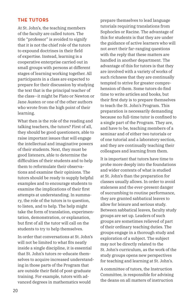#### **THE TUTORS**

At St. John's, the teaching members of the faculty are called tutors. The title "professor" is avoided to signify that it is not the chief role of the tutors to expound doctrines in their field of expertise. Instead, learning is a cooperative enterprise carried out in small groups with persons at different stages of learning working together. All participants in a class are expected to prepare for their discussion by studying the text that is the principal teacher of the class—it might be Plato or Newton or Jane Austen or one of the other authors who wrote from the high point of their learning.

What then is the role of the reading and talking teachers, the tutors? First of all, they should be good questioners, able to raise important issues that will engage the intellectual and imaginative powers of their students. Next, they must be good listeners, able to determine the difficulties of their students and to help them to reformulate their observations and examine their opinions. The tutors should be ready to supply helpful examples and to encourage students to examine the implications of their first attempts at understanding. In summary, the role of the tutors is to question, to listen, and to help. The help might take the form of translation, experimentation, demonstration, or explanation, but first of all the tutor will call on the students to try to help themselves.

In order that conversations at St. John's will not be limited to what fits neatly inside a single discipline, it is essential that St. John's tutors re-educate themselves to acquire increased understanding in those parts of the Program that are outside their field of post-graduate training. For example, tutors with advanced degrees in mathematics would

prepare themselves to lead language tutorials requiring translations from Sophocles or Racine. The advantage of this for students is that they are under the guidance of active learners who will not avert their far-ranging questions with the reply that these matters are handled in another department. The advantage of this for tutors is that they are involved with a variety of works of such richness that they are continually tempted to strive for greater comprehension of them. Some tutors do find time to write articles and books, but their first duty is to prepare themselves to teach the St. John's Program. This preparation is necessarily demanding because no full-time tutor is confined to a single part of the Program. They are, and have to be, teaching members of a seminar and of either two tutorials or of one tutorial and a laboratory section, and they are continually teaching their colleagues and learning from them.

It is important that tutors have time to probe more deeply into the foundations and wider contexts of what is studied at St. John's than the preparation for classes usually allows. In order to avoid staleness and the ever-present danger of succumbing to routine performance, they are granted sabbatical leaves to allow for leisure and serious study. Between sabbatical leaves, faculty study groups are set up. Leaders of such groups are sometimes relieved of part of their ordinary teaching duties. The groups engage in a thorough study and exploration of a subject. The subject may not be directly related to the St. John's curriculum, as the work of the study groups opens new perspectives for teaching and learning at St. John's.

A committee of tutors, the Instruction Committee, is responsible for advising the deans on all matters of instruction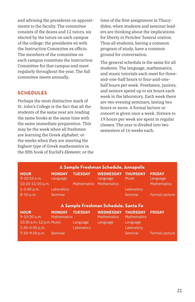and advising the presidents on appointments to the faculty. The committee consists of the deans and 12 tutors, six elected by the tutors on each campus of the college; the presidents sit with the Instruction Committee ex officio. The members of the committee on each campus constitute the Instruction Committee for that campus and meet regularly throughout the year. The full committee meets annually.

#### **SCHEDULES**

Perhaps the most distinctive mark of St. John's College is the fact that all the students of the same year are reading the same books at the same time with the same immediate preparation. This may be the week when all freshmen are learning the Greek alphabet; or the weeks when they are meeting the highest type of Greek mathematics in the fifth book of Euclid's *Elements*; or the time of the first assignment in Thucydides, when students and seminar leaders are thinking about the implications for liberty in Pericles' funeral oration. Thus all students, having a common program of study, have a common ground for conversation.

The general schedule is the same for all students. The language, mathematics, and music tutorials each meet for threeand-one-half hours to four-and-onehalf hours per week. Freshmen, juniors, and seniors spend up to six hours each week in the laboratory. Each week there are two evening seminars, lasting two hours or more. A formal lecture or concert is given once a week. Sixteen to 19 hours per week are spent in regular classes. The year is divided into two semesters of 16 weeks each.

| A Sample Freshman Schedule, Annapolis |                                     |                    |                                        |                                       |                           |  |
|---------------------------------------|-------------------------------------|--------------------|----------------------------------------|---------------------------------------|---------------------------|--|
| <b>HOUR</b><br>$9-10:10$ a.m.         | <b>MONDAY</b><br>Language           | <b>TUESDAY</b>     | <b>WEDNESDAY</b><br>Language           | <b>THURSDAY</b><br><b>Music</b>       | <b>FRIDAY</b><br>Language |  |
| 10:20-11:30 a.m.                      |                                     | <b>Mathematics</b> | <b>Mathematics</b>                     |                                       | <b>Mathematics</b>        |  |
| $1-3:40$ p.m.                         | Laboratory                          |                    |                                        | Laboratory                            |                           |  |
| 8-10 p.m.                             | Seminar                             |                    |                                        | Seminar                               | <b>Formal Lecture</b>     |  |
|                                       |                                     |                    |                                        |                                       |                           |  |
|                                       |                                     |                    | A Sample Freshman Schedule, Santa Fe   |                                       |                           |  |
| <b>HOUR</b><br>$9-10:30$ a.m.         | <b>MONDAY</b><br><b>Mathematics</b> | <b>TUESDAY</b>     | <b>WEDNESDAY</b><br><b>Mathematics</b> | <b>THURSDAY</b><br><b>Mathematics</b> | <b>FRIDAY</b>             |  |
| 10:30 a.m.-12 p.m. Music              |                                     | Language           | Language                               | Language                              |                           |  |
| $1:30-4:30$ p.m.                      |                                     | Laboratory         |                                        | Laboratory                            |                           |  |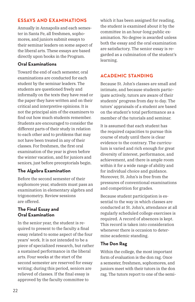# **ESSAYS AND EXAMINATIONS**

Annually in Annapolis and each semester in Santa Fe, all freshmen, sophomores, and juniors submit essays to their seminar leaders on some aspect of the liberal arts. These essays are based directly upon books in the Program.

# **Oral Examinations**

Toward the end of each semester, oral examinations are conducted for each student by the seminar leaders. The students are questioned freely and informally on the texts they have read or the paper they have written and on their critical and interpretive opinions. It is not the principal aim of the examiners to find out how much students remember. Students are encouraged to consider the different parts of their study in relation to each other and to problems that may not have been treated in any of their classes. For freshmen, the first oral examination of the year is given before the winter vacation, and for juniors and seniors, just before preceptorials begin.

# **The Algebra Examination**

Before the second semester of their sophomore year, students must pass an examination in elementary algebra and trigonometry. Review sessions are offered.

# **The Final Essay and Oral Examination**

In the senior year, the student is required to present to the faculty a final essay related to some aspect of the four years' work. It is not intended to be a piece of specialized research, but rather a sustained performance in the liberal arts. Four weeks at the start of the second semester are reserved for essay writing; during this period, seniors are relieved of classes. If the final essay is approved by the faculty committee to

which it has been assigned for reading, the student is examined about it by the committee in an hour-long public examination. No degree is awarded unless both the essay and the oral examination are satisfactory. The senior essay is regarded as a culmination of the student's learning.

# **ACADEMIC STANDING**

Because St. John's classes are small and intimate, and because students participate actively, tutors are aware of their students' progress from day to day. The tutors' appraisals of a student are based on the student's total performance as a member of the tutorials and seminar.

It is assumed that each student has the required capacities to pursue this course of study until there is clear evidence to the contrary. The curriculum is varied and rich enough for great diversity of interest, performance, and achievement, and there is ample room within it for a wide range of ability and for individual choice and guidance. Moreover, St. John's is free from the pressures of conventional examinations and competition for grades.

Because student participation is essential to the way in which classes are conducted at St. John's, attendance at all regularly scheduled college exercises is required. A record of absences is kept. This record is taken into consideration whenever there is occasion to determine academic standing.

# **The Don Rag**

Within the college, the most important form of evaluation is the don rag. Once a semester, freshmen, sophomores, and juniors meet with their tutors in the don rag. The tutors report to one of the semi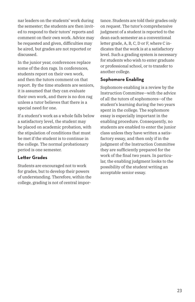nar leaders on the students' work during the semester; the students are then invited to respond to their tutors' reports and comment on their own work. Advice may be requested and given, difficulties may be aired, but grades are not reported or discussed.

In the junior year, conferences replace some of the don rags. In conferences, students report on their own work, and then the tutors comment on that report. By the time students are seniors, it is assumed that they can evaluate their own work, and there is no don rag unless a tutor believes that there is a special need for one.

If a student's work as a whole falls below a satisfactory level, the student may be placed on academic probation, with the stipulation of conditions that must be met if the student is to continue in the college. The normal probationary period is one semester.

# **Letter Grades**

Students are encouraged not to work for grades, but to develop their powers of understanding. Therefore, within the college, grading is not of central importance. Students are told their grades only on request. The tutor's comprehensive judgment of a student is reported to the dean each semester as a conventional letter grade, A, B, C, D or F, where C indicates that the work is at a satisfactory level. Such a grading system is necessary for students who wish to enter graduate or professional school, or to transfer to another college.

# **Sophomore Enabling**

Sophomore enabling is a review by the Instruction Committee—with the advice of all the tutors of sophomores—of the student's learning during the two years spent in the college. The sophomore essay is especially important in the enabling procedure. Consequently, no students are enabled to enter the junior class unless they have written a satisfactory essay, and then only if in the judgment of the Instruction Committee they are sufficiently prepared for the work of the final two years. In particular, the enabling judgment looks to the possibility of the student writing an acceptable senior essay.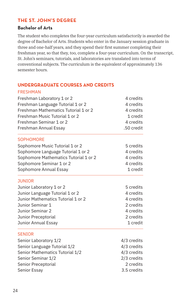# **THE ST. JOHN'S DEGREE**

# **Bachelor of Arts**

The student who completes the four-year curriculum satisfactorily is awarded the degree of Bachelor of Arts. Students who enter in the January session graduate in three and one-half years, and they spend their first summer completing their freshman year, so that they, too, complete a four-year curriculum. On the transcript, St. John's seminars, tutorials, and laboratories are translated into terms of conventional subjects. The curriculum is the equivalent of approximately 136 semester hours.

### **UNDERGRADUATE COURSES AND CREDITS**

| <b>FRESHMAN</b>                       |             |
|---------------------------------------|-------------|
| Freshman Laboratory 1 or 2            | 4 credits   |
| Freshman Language Tutorial 1 or 2     | 4 credits   |
| Freshman Mathematics Tutorial 1 or 2  | 4 credits   |
| Freshman Music Tutorial 1 or 2        | 1 credit    |
| Freshman Seminar 1 or 2               | 4 credits   |
| Freshman Annual Essay                 | .50 credit  |
| <b>SOPHOMORE</b>                      |             |
| Sophomore Music Tutorial 1 or 2       | 5 credits   |
| Sophomore Language Tutorial 1 or 2    | 4 credits   |
| Sophomore Mathematics Tutorial 1 or 2 | 4 credits   |
| Sophomore Seminar 1 or 2              | 4 credits   |
| Sophomore Annual Essay                | 1 credit    |
| <b>JUNIOR</b>                         |             |
| Junior Laboratory 1 or 2              | 5 credits   |
| Junior Language Tutorial 1 or 2       | 4 credits   |
| Junior Mathematics Tutorial 1 or 2    | 4 credits   |
| Junior Seminar 1                      | 2 credits   |
| Junior Seminar 2                      | 4 credits   |
| Junior Preceptorial                   | 2 credits   |
| Junior Annual Essay                   | 1 credit    |
| <b>SENIOR</b>                         |             |
| Senior Laboratory 1/2                 | 4/3 credits |
| Senior Language Tutorial 1/2          | 4/3 credits |
| Senior Mathematics Tutorial 1/2       | 4/3 credits |
| Senior Seminar 1/2                    | 2/3 credits |
| Senior Preceptorial                   | 2 credits   |
| Senior Essay                          | 3.5 credits |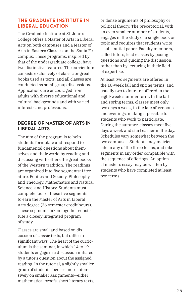## **THE GRADUATE INSTITUTE IN LIBERAL EDUCATION**

The Graduate Institute at St. John's College offers a Master of Arts in Liberal Arts on both campuses and a Master of Arts in Eastern Classics on the Santa Fe campus. These programs, inspired by that of the undergraduate college, have two distinctive features: The curriculum consists exclusively of classic or great books used as texts, and all classes are conducted as small group discussions. Applications are encouraged from adults with diverse educational and cultural backgrounds and with varied interests and professions.

# **DEGREE OF MASTER OF ARTS IN LIBERAL ARTS**

The aim of the program is to help students formulate and respond to fundamental questions about themselves and their world by reading and discussing with others the great books of the Western tradition. The readings are organized into five segments: Literature, Politics and Society, Philosophy and Theology, Mathematics and Natural Science, and History. Students must complete four of these five segments to earn the Master of Arts in Liberal Arts degree (36 semester credit hours). These segments taken together constitute a closely integrated program of study.

Classes are small and based on discussion of classic texts, but differ in significant ways. The heart of the curriculum is the seminar, in which 14 to 19 students engage in a discussion initiated by a tutor's question about the assigned reading. In the tutorial, a slightly smaller group of students focuses more intensively on smaller assignments—either mathematical proofs, short literary texts, or dense arguments of philosophy or political theory. The preceptorial, with an even smaller number of students, engages in the study of a single book or topic and requires that students write a substantial paper. Faculty members, called tutors, lead classes by posing questions and guiding the discussion, rather than by lecturing in their field of expertise.

At least two segments are offered in the 16-week fall and spring terms, and usually two to four are offered in the eight-week summer term. In the fall and spring terms, classes meet only two days a week, in the late afternoons and evenings, making it possible for students who work to participate. During the summer, classes meet five days a week and start earlier in the day. Schedules vary somewhat between the two campuses. Students may matriculate in any of the three terms, and take segments in any order compatible with the sequence of offerings. An optional master's essay may be written by students who have completed at least two terms.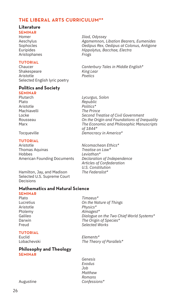# **THE LIBERAL ARTS CURRICULUM\*\***

#### **Literature**

# **SEMINAR**

Aristophanes *Frogs*

# **TUTORIAL**

Shakespeare *King Lear* Aristotle Selected English lyric poetry

#### **Politics and Society**

**SEMINAR** Plato *Republic* Aristotle *Politics\** Machiavelli *The Prince*

# **TUTORIAL**

Thomas Aquinas *Treatise on Law\** Hobbes *Leviathan\** American Founding Documents *Declaration of Independence* 

*Iliad, Odyssey* Aeschylus *Agamemnon, Libation Bearers, Eumenides* Sophocles *Oedipus Rex, Oedipus at Colonus, Antigone* Euripides *Hippolytus, Bacchae, Electra*

Canterbury Tales in Middle English\*

Lycurgus, Solon Locke *Second Treatise of Civil Government* Rousseau *On the Origin and Foundations of Inequality*  Marx *The Economic and Philosophic Manuscripts of 1844\** Tocqueville *Democracy in America\**

> Aristotle *Nicomachean Ethics\* Articles of Confederation U.S. Constitution*

Hamilton, Jay, and Madison *The Federalist\** Selected U.S. Supreme Court Decisions

# **Mathematics and Natural Science**

**SEMINAR** Aristotle *Physics\** Ptolemy *Almagest\**

 $Timeeus*$ Lucretius *On the Nature of Things* Galileo *Dialogue on the Two Chief World Systems\** Darwin *The Origin of Species\** Freud *Selected Works*

# **TUTORIAL**

 $Flements*$ Lobachevski *The Theory of Parallels\**

#### **Philosophy and Theology SEMINAR**

*Genesis Exodus Job Matthew Romans*  Augustine *Confessions\**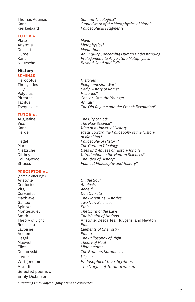# **TUTORIAL**

Plato *Meno*

# **History**

#### **SEMINAR**

Herodotus *Histories\** Polybius *Histories\** Tacitus *Annals\**

# **TUTORIAL**

- 
- 

#### **PRECEPTORIAL**

(sample offerings) Aristotle *On the Soul* Confucius *Analects* Virgil *Aeneid* Cervantes *Don Quixote* Galileo *Two New Sciences* Spinoza *Ethics* Rousseau *Emile* Austen *Emma* Maxwell *Theory of Heat* Eliot *Middlemarch* Joyce *Ulysses* Selected poems of Emily Dickinson

Thomas Aquinas *Summa Theologica\** **Groundwork of the Metaphysics of Morals** Kierkegaard *Philosophical Fragments*

Aristotle *Metaphysics\** Descartes *Meditations* Hume *An Enquiry Concerning Human Understanding* Kant *Prolegomena to Any Future Metaphysics* Nietzsche *Beyond Good and Evil\**

Thucydides *Peloponnesian War\** Livy *Early History of Rome\** Plutarch *Caesar, Cato the Younger* The Old Regime and the French Revolution\*

The City of God\* Vico *The New Science\** Kant *Idea of a Universal History* Ideas Toward the Philosophy of the History *of Mankind\** Hegel *Philosophy of History\** Marx *The German Ideology* Nietzsche *Uses and Abuses of History for Life* Dilthey *Introduction to the Human Sciences\** Collingwood *The Idea of History\** Strauss *Political Philosophy and History\**

Machiavelli *The Florentine Histories* Montesquieu *The Spirit of the Laws* Smith *The Wealth of Nations* Theory of Light **Aristotle, Descartes, Huygens, and Newton** Lavoisier *Elements of Chemistry* Hegel *The Philosophy of Right* Dostoevski *The Brothers Karamazov* Wittgenstein *Philosophical Investigations* Arendt *The Origins of Totalitarianism*

*\*\*Readings may differ slightly between campuses*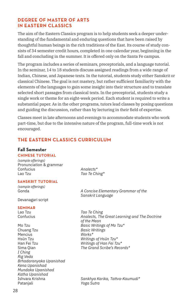# **DEGREE OF MASTER OF ARTS IN EASTERN CLASSICS**

The aim of the Eastern Classics program is to help students seek a deeper understanding of the fundamental and enduring questions that have been raised by thoughtful human beings in the rich traditions of the East. Its course of study consists of 34 semester credit hours, completed in one calendar year, beginning in the fall and concluding in the summer. It is offered only on the Santa Fe campus.

The program includes a series of seminars, preceptorials, and a language tutorial. In the seminar, 14 to 18 students discuss assigned readings from a wide range of Indian, Chinese, and Japanese texts. In the tutorial, students study either Sanskrit or classical Chinese. The goal is not mastery, but rather sufficient familiarity with the elements of the languages to gain some insight into their structure and to translate selected short passages from classical texts. In the preceptorial, students study a single work or theme for an eight-week period. Each student is required to write a substantial paper. As in the other programs, tutors lead classes by posing questions and guiding the discussion, rather than by lecturing in their field of expertise.

Classes meet in late afternoons and evenings to accommodate students who work part-time, but due to the intensive nature of the program, full-time work is not encouraged.

# **THE EASTERN CLASSICS CURRICULUM**

#### **Fall Semester**

#### **CHINESE TUTORIAL**

*(sample offerings)* Pronunciation & grammar Confucius *Analects\** Lao Tzu *Tao Te Ching\**

#### **SANSKRIT TUTORIAL**

*(sample offerings)*

Devanagari script

#### **SEMINAR**

Mo Tzu *Basic Writings of Mo Tzu\** Chuang Tzu *Basic Writings* Mencius *Works\** Hsün Tzu *Writings of Hsün Tzu\** Han Fei Tzu *Writings of Han Fei Tzu\* I Ching Rig Veda Brhadaranyaka Upanishad Kena Upanishad Mundaka Upanishad Katha Upanishad* Patanjali *Yoga Sutra*

Gonda *A Concise Elementary Grammar of the Sanskrit Language*

Lao Tzu *Tao Te Ching* Confucius *Analects, The Great Learning and The Doctrine of the Mean* Sima Qian *The Grand Scribe's Records\**

Ishvara Krishna *Sankhya Karika, Tattva-Kaumudi\**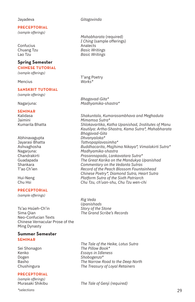**PRECEPTORIAL** 

*(sample offerings)*

Confucius **Analects** 

# **Spring Semester**

**CHINESE TUTORIAL**

*(sample offerings)*

Mencius *Works\**

#### **SANSKRIT TUTORIAL**

*(sample offerings)*

#### **SEMINAR**

Abhinavagupta *Dhvanyaloka\**

#### **PRECEPTORIAL**

*(sample offerings)*

Ts'ao Hsüeh-Ch'in *Story of the Stone* Sima Qian *The Grand Scribe's Records* Neo-Confucian Texts Chinese Vernacular Prose of the Ming Dynasty

# **Summer Semester**

#### **SEMINAR**

Dogen *Shobogenzo\**

#### **PRECEPTORIAL**

*(sample offerings)*

*\*selections*

Jayadeva *Gitagovinda*

*Mahabharata* (required) *I Ching* (sample offerings) Chuang Tzu *Basic Writings* Lao Tzu *Basic Writings*

T'ang Poetry

*Bhagavad-Gita\** Nagarjuna: *Madhyamika-shastra\**

Kalidasa *Shakuntala, Kumarasambhava and Meghaduta* Jaimini *Mimamsa Sutra\**  $Shlokavartika, Katha Upanishad, Institutes of Manu$ *Kautilya: Artha-Shastra, Kama Sutra\*, Mahabharata Bhagavad-Gita* Jayarasi Bhatta *Tattvopaplavasimha\** Ashvaghosha *Buddhacarita*, *Majjhima Nikaya\*, Vimalakirti Sutra\** Nagarjuna: *Madhyamika-shastra* Chandrakirti *Prasannapada*, *Lankavatara Sutra\** Guadapada *The Great Karika on the Mandukya Upanishad* Shankara *Commentary on the Vedanta Sutras* Record of the Peach Blossom Fountainhead *Chinese Poetry\*, Diamond Sutra, Heart Sutra* Hui-Neng *Platform Sutra of the Sixth Patriarch* Chu Hsi *Chu Tzu, ch'uan-shu, Chu Tzu wen-chi*

> *Rig Veda Upanishads*

*The Tale of the Heike, Lotus Sutra* Sei Shonagon *The Pillow Book\** Kenko *Essays in Idleness* Basho *The Narrow Road to the Deep North* Chushingura *The Treasury of Loyal Retainers*

Murasaki Shikibu *The Tale of Genji (required)*